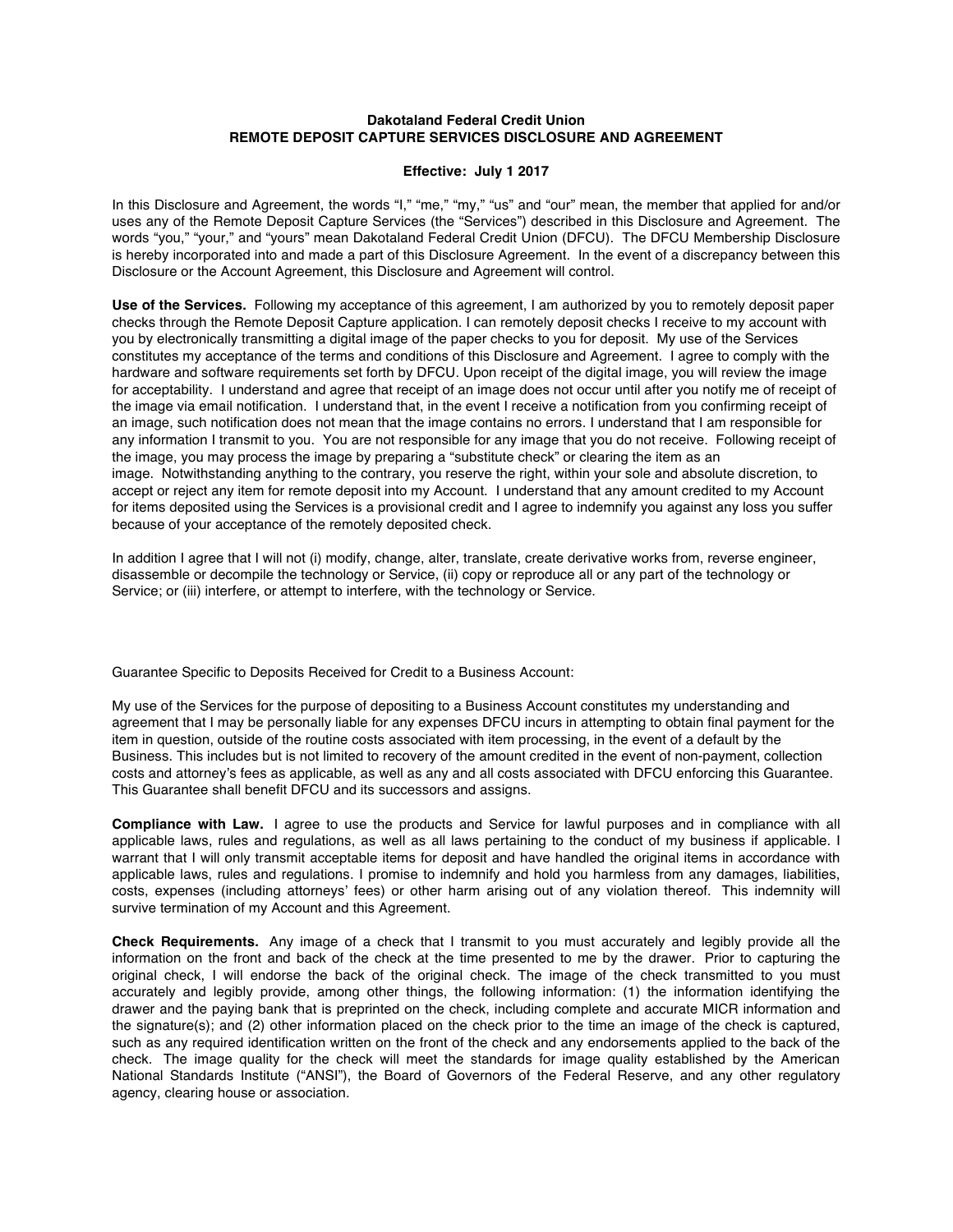## **Dakotaland Federal Credit Union REMOTE DEPOSIT CAPTURE SERVICES DISCLOSURE AND AGREEMENT**

## **Effective: July 1 2017**

In this Disclosure and Agreement, the words "I," "me," "my," "us" and "our" mean, the member that applied for and/or uses any of the Remote Deposit Capture Services (the "Services") described in this Disclosure and Agreement. The words "you," "your," and "yours" mean Dakotaland Federal Credit Union (DFCU). The DFCU Membership Disclosure is hereby incorporated into and made a part of this Disclosure Agreement. In the event of a discrepancy between this Disclosure or the Account Agreement, this Disclosure and Agreement will control.

**Use of the Services.** Following my acceptance of this agreement, I am authorized by you to remotely deposit paper checks through the Remote Deposit Capture application. I can remotely deposit checks I receive to my account with you by electronically transmitting a digital image of the paper checks to you for deposit. My use of the Services constitutes my acceptance of the terms and conditions of this Disclosure and Agreement. I agree to comply with the hardware and software requirements set forth by DFCU. Upon receipt of the digital image, you will review the image for acceptability. I understand and agree that receipt of an image does not occur until after you notify me of receipt of the image via email notification. I understand that, in the event I receive a notification from you confirming receipt of an image, such notification does not mean that the image contains no errors. I understand that I am responsible for any information I transmit to you. You are not responsible for any image that you do not receive. Following receipt of the image, you may process the image by preparing a "substitute check" or clearing the item as an image. Notwithstanding anything to the contrary, you reserve the right, within your sole and absolute discretion, to accept or reject any item for remote deposit into my Account. I understand that any amount credited to my Account for items deposited using the Services is a provisional credit and I agree to indemnify you against any loss you suffer because of your acceptance of the remotely deposited check.

In addition I agree that I will not (i) modify, change, alter, translate, create derivative works from, reverse engineer, disassemble or decompile the technology or Service, (ii) copy or reproduce all or any part of the technology or Service; or (iii) interfere, or attempt to interfere, with the technology or Service.

Guarantee Specific to Deposits Received for Credit to a Business Account:

My use of the Services for the purpose of depositing to a Business Account constitutes my understanding and agreement that I may be personally liable for any expenses DFCU incurs in attempting to obtain final payment for the item in question, outside of the routine costs associated with item processing, in the event of a default by the Business. This includes but is not limited to recovery of the amount credited in the event of non-payment, collection costs and attorney's fees as applicable, as well as any and all costs associated with DFCU enforcing this Guarantee. This Guarantee shall benefit DFCU and its successors and assigns.

**Compliance with Law.** I agree to use the products and Service for lawful purposes and in compliance with all applicable laws, rules and regulations, as well as all laws pertaining to the conduct of my business if applicable. I warrant that I will only transmit acceptable items for deposit and have handled the original items in accordance with applicable laws, rules and regulations. I promise to indemnify and hold you harmless from any damages, liabilities, costs, expenses (including attorneys' fees) or other harm arising out of any violation thereof. This indemnity will survive termination of my Account and this Agreement.

**Check Requirements.** Any image of a check that I transmit to you must accurately and legibly provide all the information on the front and back of the check at the time presented to me by the drawer. Prior to capturing the original check, I will endorse the back of the original check. The image of the check transmitted to you must accurately and legibly provide, among other things, the following information: (1) the information identifying the drawer and the paying bank that is preprinted on the check, including complete and accurate MICR information and the signature(s); and (2) other information placed on the check prior to the time an image of the check is captured, such as any required identification written on the front of the check and any endorsements applied to the back of the check. The image quality for the check will meet the standards for image quality established by the American National Standards Institute ("ANSI"), the Board of Governors of the Federal Reserve, and any other regulatory agency, clearing house or association.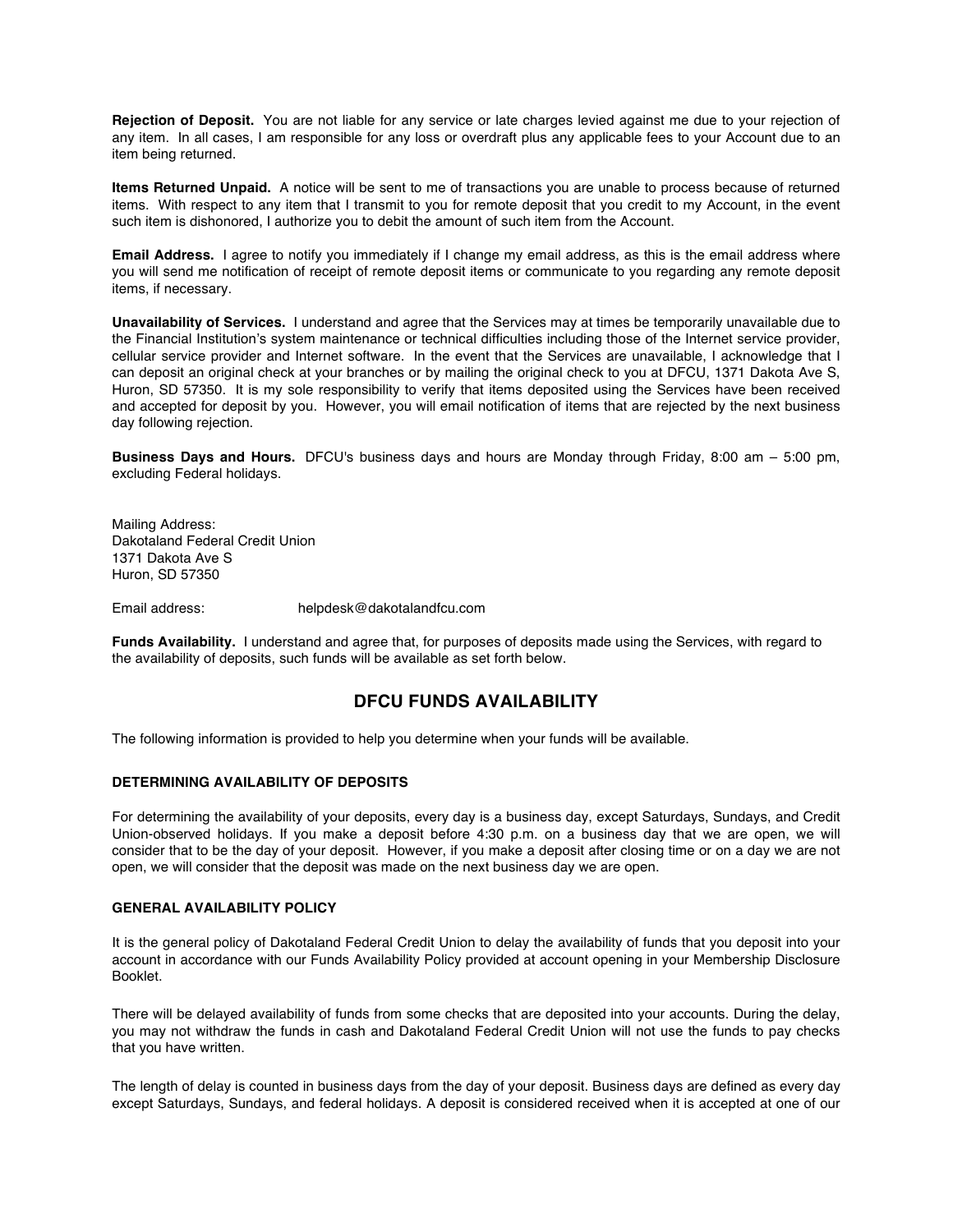**Rejection of Deposit.** You are not liable for any service or late charges levied against me due to your rejection of any item. In all cases, I am responsible for any loss or overdraft plus any applicable fees to your Account due to an item being returned.

**Items Returned Unpaid.** A notice will be sent to me of transactions you are unable to process because of returned items. With respect to any item that I transmit to you for remote deposit that you credit to my Account, in the event such item is dishonored, I authorize you to debit the amount of such item from the Account.

**Email Address.** I agree to notify you immediately if I change my email address, as this is the email address where you will send me notification of receipt of remote deposit items or communicate to you regarding any remote deposit items, if necessary.

**Unavailability of Services.** I understand and agree that the Services may at times be temporarily unavailable due to the Financial Institution's system maintenance or technical difficulties including those of the Internet service provider, cellular service provider and Internet software. In the event that the Services are unavailable, I acknowledge that I can deposit an original check at your branches or by mailing the original check to you at DFCU, 1371 Dakota Ave S, Huron, SD 57350. It is my sole responsibility to verify that items deposited using the Services have been received and accepted for deposit by you. However, you will email notification of items that are rejected by the next business day following rejection.

**Business Days and Hours.** DFCU's business days and hours are Monday through Friday, 8:00 am – 5:00 pm, excluding Federal holidays.

Mailing Address: Dakotaland Federal Credit Union 1371 Dakota Ave S Huron, SD 57350

Email address: helpdesk@dakotalandfcu.com

**Funds Availability.** I understand and agree that, for purposes of deposits made using the Services, with regard to the availability of deposits, such funds will be available as set forth below.

# **DFCU FUNDS AVAILABILITY**

The following information is provided to help you determine when your funds will be available.

## **DETERMINING AVAILABILITY OF DEPOSITS**

For determining the availability of your deposits, every day is a business day, except Saturdays, Sundays, and Credit Union-observed holidays. If you make a deposit before 4:30 p.m. on a business day that we are open, we will consider that to be the day of your deposit. However, if you make a deposit after closing time or on a day we are not open, we will consider that the deposit was made on the next business day we are open.

#### **GENERAL AVAILABILITY POLICY**

It is the general policy of Dakotaland Federal Credit Union to delay the availability of funds that you deposit into your account in accordance with our Funds Availability Policy provided at account opening in your Membership Disclosure Booklet.

There will be delayed availability of funds from some checks that are deposited into your accounts. During the delay, you may not withdraw the funds in cash and Dakotaland Federal Credit Union will not use the funds to pay checks that you have written.

The length of delay is counted in business days from the day of your deposit. Business days are defined as every day except Saturdays, Sundays, and federal holidays. A deposit is considered received when it is accepted at one of our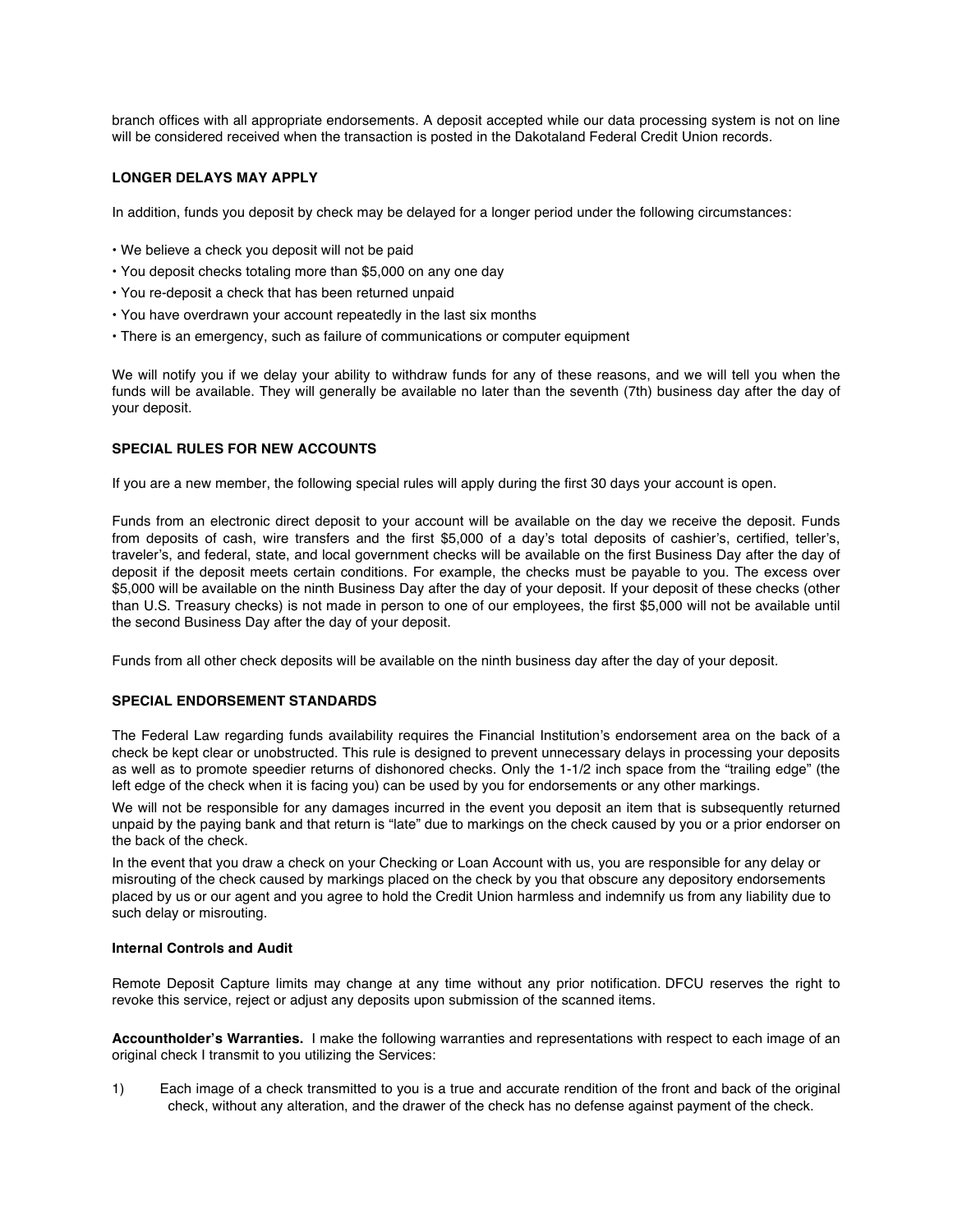branch offices with all appropriate endorsements. A deposit accepted while our data processing system is not on line will be considered received when the transaction is posted in the Dakotaland Federal Credit Union records.

## **LONGER DELAYS MAY APPLY**

In addition, funds you deposit by check may be delayed for a longer period under the following circumstances:

- We believe a check you deposit will not be paid
- You deposit checks totaling more than \$5,000 on any one day
- You re-deposit a check that has been returned unpaid
- You have overdrawn your account repeatedly in the last six months
- There is an emergency, such as failure of communications or computer equipment

We will notify you if we delay your ability to withdraw funds for any of these reasons, and we will tell you when the funds will be available. They will generally be available no later than the seventh (7th) business day after the day of your deposit.

## **SPECIAL RULES FOR NEW ACCOUNTS**

If you are a new member, the following special rules will apply during the first 30 days your account is open.

Funds from an electronic direct deposit to your account will be available on the day we receive the deposit. Funds from deposits of cash, wire transfers and the first \$5,000 of a day's total deposits of cashier's, certified, teller's, traveler's, and federal, state, and local government checks will be available on the first Business Day after the day of deposit if the deposit meets certain conditions. For example, the checks must be payable to you. The excess over \$5,000 will be available on the ninth Business Day after the day of your deposit. If your deposit of these checks (other than U.S. Treasury checks) is not made in person to one of our employees, the first \$5,000 will not be available until the second Business Day after the day of your deposit.

Funds from all other check deposits will be available on the ninth business day after the day of your deposit.

## **SPECIAL ENDORSEMENT STANDARDS**

The Federal Law regarding funds availability requires the Financial Institution's endorsement area on the back of a check be kept clear or unobstructed. This rule is designed to prevent unnecessary delays in processing your deposits as well as to promote speedier returns of dishonored checks. Only the 1-1/2 inch space from the "trailing edge" (the left edge of the check when it is facing you) can be used by you for endorsements or any other markings.

We will not be responsible for any damages incurred in the event you deposit an item that is subsequently returned unpaid by the paying bank and that return is "late" due to markings on the check caused by you or a prior endorser on the back of the check.

In the event that you draw a check on your Checking or Loan Account with us, you are responsible for any delay or misrouting of the check caused by markings placed on the check by you that obscure any depository endorsements placed by us or our agent and you agree to hold the Credit Union harmless and indemnify us from any liability due to such delay or misrouting.

#### **Internal Controls and Audit**

Remote Deposit Capture limits may change at any time without any prior notification. DFCU reserves the right to revoke this service, reject or adjust any deposits upon submission of the scanned items.

**Accountholder's Warranties.** I make the following warranties and representations with respect to each image of an original check I transmit to you utilizing the Services:

1) Each image of a check transmitted to you is a true and accurate rendition of the front and back of the original check, without any alteration, and the drawer of the check has no defense against payment of the check.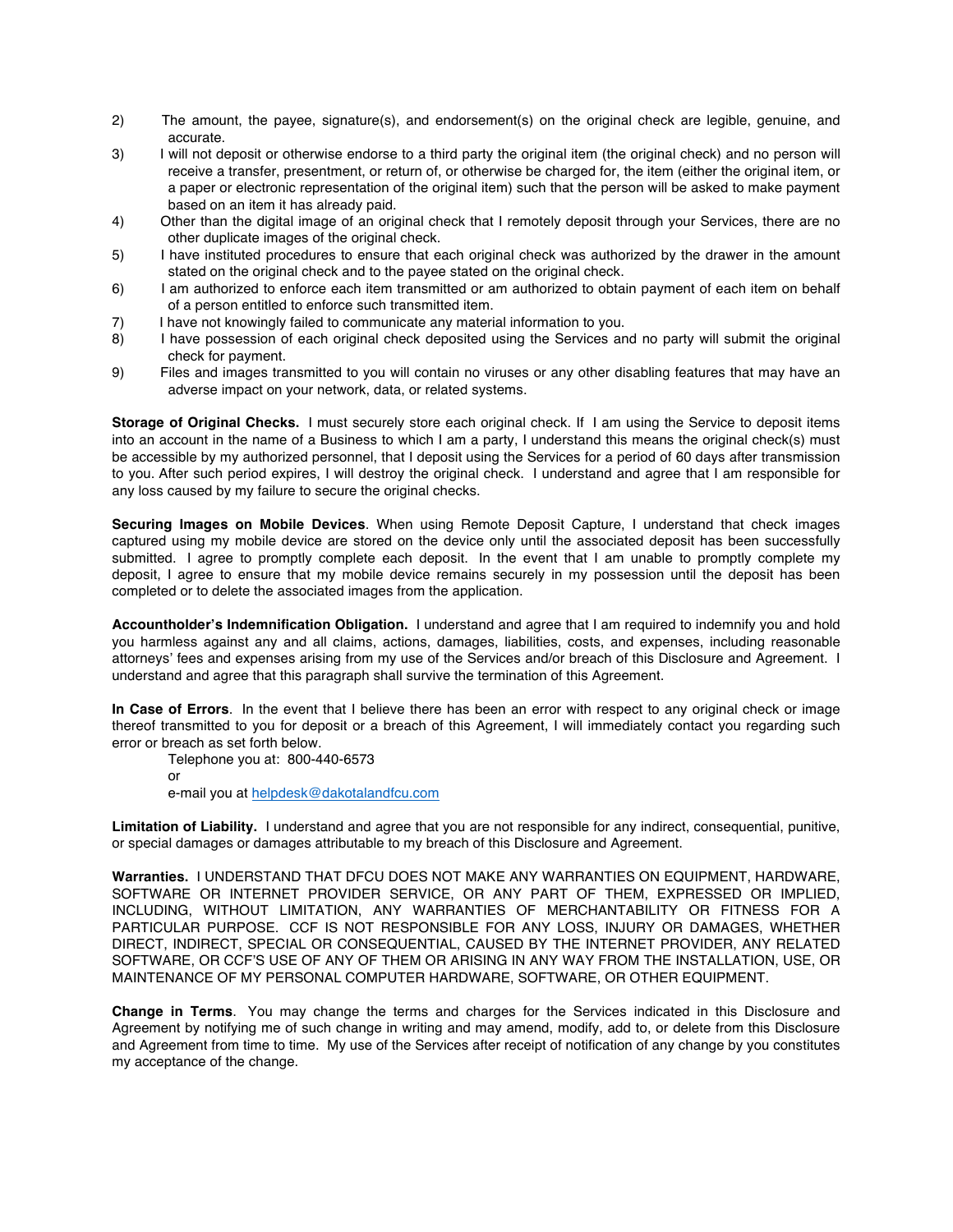- 2) The amount, the payee, signature(s), and endorsement(s) on the original check are legible, genuine, and accurate.
- 3) I will not deposit or otherwise endorse to a third party the original item (the original check) and no person will receive a transfer, presentment, or return of, or otherwise be charged for, the item (either the original item, or a paper or electronic representation of the original item) such that the person will be asked to make payment based on an item it has already paid.
- 4) Other than the digital image of an original check that I remotely deposit through your Services, there are no other duplicate images of the original check.
- 5) I have instituted procedures to ensure that each original check was authorized by the drawer in the amount stated on the original check and to the payee stated on the original check.
- 6) I am authorized to enforce each item transmitted or am authorized to obtain payment of each item on behalf of a person entitled to enforce such transmitted item.
- 7) I have not knowingly failed to communicate any material information to you.
- 8) I have possession of each original check deposited using the Services and no party will submit the original check for payment.
- 9) Files and images transmitted to you will contain no viruses or any other disabling features that may have an adverse impact on your network, data, or related systems.

**Storage of Original Checks.** I must securely store each original check. If I am using the Service to deposit items into an account in the name of a Business to which I am a party, I understand this means the original check(s) must be accessible by my authorized personnel, that I deposit using the Services for a period of 60 days after transmission to you. After such period expires, I will destroy the original check. I understand and agree that I am responsible for any loss caused by my failure to secure the original checks.

**Securing Images on Mobile Devices**. When using Remote Deposit Capture, I understand that check images captured using my mobile device are stored on the device only until the associated deposit has been successfully submitted. I agree to promptly complete each deposit. In the event that I am unable to promptly complete my deposit, I agree to ensure that my mobile device remains securely in my possession until the deposit has been completed or to delete the associated images from the application.

**Accountholder's Indemnification Obligation.** I understand and agree that I am required to indemnify you and hold you harmless against any and all claims, actions, damages, liabilities, costs, and expenses, including reasonable attorneys' fees and expenses arising from my use of the Services and/or breach of this Disclosure and Agreement. I understand and agree that this paragraph shall survive the termination of this Agreement.

**In Case of Errors**. In the event that I believe there has been an error with respect to any original check or image thereof transmitted to you for deposit or a breach of this Agreement, I will immediately contact you regarding such error or breach as set forth below.

Telephone you at: 800-440-6573 or e-mail you at helpdesk@dakotalandfcu.com

**Limitation of Liability.** I understand and agree that you are not responsible for any indirect, consequential, punitive, or special damages or damages attributable to my breach of this Disclosure and Agreement.

**Warranties.** I UNDERSTAND THAT DFCU DOES NOT MAKE ANY WARRANTIES ON EQUIPMENT, HARDWARE, SOFTWARE OR INTERNET PROVIDER SERVICE, OR ANY PART OF THEM, EXPRESSED OR IMPLIED, INCLUDING, WITHOUT LIMITATION, ANY WARRANTIES OF MERCHANTABILITY OR FITNESS FOR A PARTICULAR PURPOSE. CCF IS NOT RESPONSIBLE FOR ANY LOSS, INJURY OR DAMAGES, WHETHER DIRECT, INDIRECT, SPECIAL OR CONSEQUENTIAL, CAUSED BY THE INTERNET PROVIDER, ANY RELATED SOFTWARE, OR CCF'S USE OF ANY OF THEM OR ARISING IN ANY WAY FROM THE INSTALLATION, USE, OR MAINTENANCE OF MY PERSONAL COMPUTER HARDWARE, SOFTWARE, OR OTHER EQUIPMENT.

**Change in Terms**. You may change the terms and charges for the Services indicated in this Disclosure and Agreement by notifying me of such change in writing and may amend, modify, add to, or delete from this Disclosure and Agreement from time to time. My use of the Services after receipt of notification of any change by you constitutes my acceptance of the change.